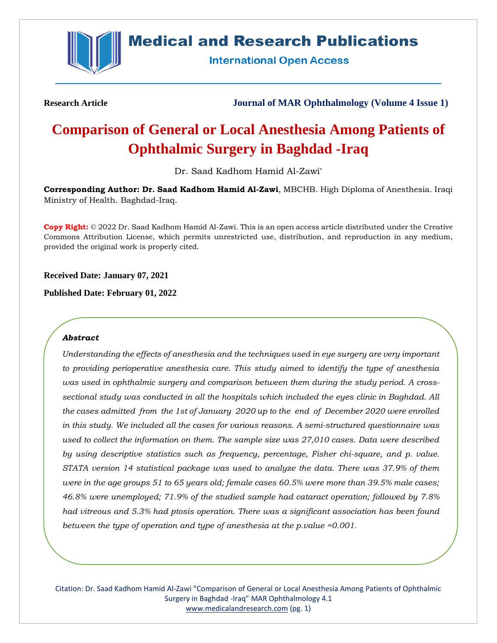

## **Medical and Research Publications**

**International Open Access** 

**Research Article Journal of MAR Ophthalmology (Volume 4 Issue 1)**

# **Comparison of General or Local Anesthesia Among Patients of Ophthalmic Surgery in Baghdad -Iraq**

Dr. Saad Kadhom Hamid Al-Zawi\*

**Corresponding Author: Dr. Saad Kadhom Hamid Al-Zawi**, MBCHB. High Diploma of Anesthesia. Iraqi Ministry of Health. Baghdad-Iraq.

**Copy Right:** © 2022 Dr. Saad Kadhom Hamid Al-Zawi. This is an open access article distributed under the Creative Commons Attribution License, which permits unrestricted use, distribution, and reproduction in any medium, provided the original work is properly cited.

**Received Date: January 07, 2021**

**Published Date: February 01, 2022**

#### *Abstract*

*Understanding the effects of anesthesia and the techniques used in eye surgery are very important to providing perioperative anesthesia care. This study aimed to identify the type of anesthesia was used in ophthalmic surgery and comparison between them during the study period. A crosssectional study was conducted in all the hospitals which included the eyes clinic in Baghdad. All the cases admitted from the 1st of January 2020 up to the end of December 2020 were enrolled in this study. We included all the cases for various reasons. A semi-structured questionnaire was used to collect the information on them. The sample size was 27,010 cases. Data were described by using descriptive statistics such as frequency, percentage, Fisher chi-square, and p. value. STATA version 14 statistical package was used to analyze the data. There was 37.9% of them were in the age groups 51 to 65 years old; female cases 60.5% were more than 39.5% male cases; 46.8% were unemployed; 71.9% of the studied sample had cataract operation; followed by 7.8% had vitreous and 5.3% had ptosis operation. There was a significant association has been found between the type of operation and type of anesthesia at the p.value =0.001.*

Citation: Dr. Saad Kadhom Hamid Al-Zawi "Comparison of General or Local Anesthesia Among Patients of Ophthalmic Surgery in Baghdad -Iraq" MAR Ophthalmology 4.1 [www.medicalandresearch.com](http://www.medicalandresearch.com/) (pg. 1)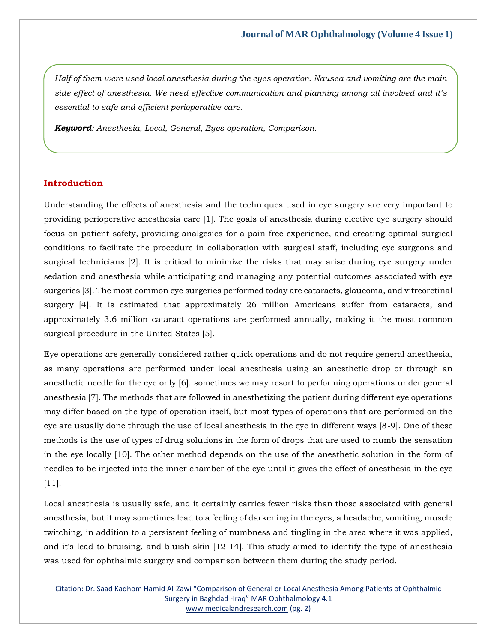*Half of them were used local anesthesia during the eyes operation. Nausea and vomiting are the main side effect of anesthesia. We need effective communication and planning among all involved and it's essential to safe and efficient perioperative care.*

*Keyword: Anesthesia, Local, General, Eyes operation, Comparison.*

#### **Introduction**

Understanding the effects of anesthesia and the techniques used in eye surgery are very important to providing perioperative anesthesia care [1]. The goals of anesthesia during elective eye surgery should focus on patient safety, providing analgesics for a pain-free experience, and creating optimal surgical conditions to facilitate the procedure in collaboration with surgical staff, including eye surgeons and surgical technicians [2]. It is critical to minimize the risks that may arise during eye surgery under sedation and anesthesia while anticipating and managing any potential outcomes associated with eye surgeries [3]. The most common eye surgeries performed today are cataracts, glaucoma, and vitreoretinal surgery [4]. It is estimated that approximately 26 million Americans suffer from cataracts, and approximately 3.6 million cataract operations are performed annually, making it the most common surgical procedure in the United States [5].

Eye operations are generally considered rather quick operations and do not require general anesthesia, as many operations are performed under local anesthesia using an anesthetic drop or through an anesthetic needle for the eye only [6]. sometimes we may resort to performing operations under general anesthesia [7]. The methods that are followed in anesthetizing the patient during different eye operations may differ based on the type of operation itself, but most types of operations that are performed on the eye are usually done through the use of local anesthesia in the eye in different ways [8-9]. One of these methods is the use of types of drug solutions in the form of drops that are used to numb the sensation in the eye locally [10]. The other method depends on the use of the anesthetic solution in the form of needles to be injected into the inner chamber of the eye until it gives the effect of anesthesia in the eye [11].

Local anesthesia is usually safe, and it certainly carries fewer risks than those associated with general anesthesia, but it may sometimes lead to a feeling of darkening in the eyes, a headache, vomiting, muscle twitching, in addition to a persistent feeling of numbness and tingling in the area where it was applied, and it's lead to bruising, and bluish skin [12-14]. This study aimed to identify the type of anesthesia was used for ophthalmic surgery and comparison between them during the study period.

Citation: Dr. Saad Kadhom Hamid Al-Zawi "Comparison of General or Local Anesthesia Among Patients of Ophthalmic Surgery in Baghdad -Iraq" MAR Ophthalmology 4.1 [www.medicalandresearch.com](http://www.medicalandresearch.com/) (pg. 2)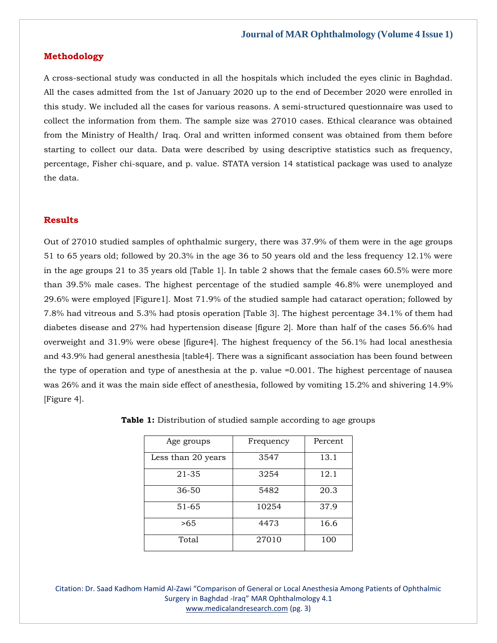#### **Methodology**

A cross-sectional study was conducted in all the hospitals which included the eyes clinic in Baghdad. All the cases admitted from the 1st of January 2020 up to the end of December 2020 were enrolled in this study. We included all the cases for various reasons. A semi-structured questionnaire was used to collect the information from them. The sample size was 27010 cases. Ethical clearance was obtained from the Ministry of Health/ Iraq. Oral and written informed consent was obtained from them before starting to collect our data. Data were described by using descriptive statistics such as frequency, percentage, Fisher chi-square, and p. value. STATA version 14 statistical package was used to analyze the data.

#### **Results**

Out of 27010 studied samples of ophthalmic surgery, there was 37.9% of them were in the age groups 51 to 65 years old; followed by 20.3% in the age 36 to 50 years old and the less frequency 12.1% were in the age groups 21 to 35 years old [Table 1]. In table 2 shows that the female cases 60.5% were more than 39.5% male cases. The highest percentage of the studied sample 46.8% were unemployed and 29.6% were employed [Figure1]. Most 71.9% of the studied sample had cataract operation; followed by 7.8% had vitreous and 5.3% had ptosis operation [Table 3]. The highest percentage 34.1% of them had diabetes disease and 27% had hypertension disease [figure 2]. More than half of the cases 56.6% had overweight and 31.9% were obese [figure4]. The highest frequency of the 56.1% had local anesthesia and 43.9% had general anesthesia [table4]. There was a significant association has been found between the type of operation and type of anesthesia at the p. value =0.001. The highest percentage of nausea was 26% and it was the main side effect of anesthesia, followed by vomiting 15.2% and shivering 14.9% [Figure 4].

| Age groups         | Frequency | Percent |
|--------------------|-----------|---------|
| Less than 20 years | 3547      | 13.1    |
| 21-35              | 3254      | 12.1    |
| 36-50              | 5482      | 20.3    |
| 51-65              | 10254     | 37.9    |
| >65                | 4473      | 16.6    |
| Total              | 27010     | 100     |

**Table 1:** Distribution of studied sample according to age groups

Citation: Dr. Saad Kadhom Hamid Al-Zawi "Comparison of General or Local Anesthesia Among Patients of Ophthalmic Surgery in Baghdad -Iraq" MAR Ophthalmology 4.1 [www.medicalandresearch.com](http://www.medicalandresearch.com/) (pg. 3)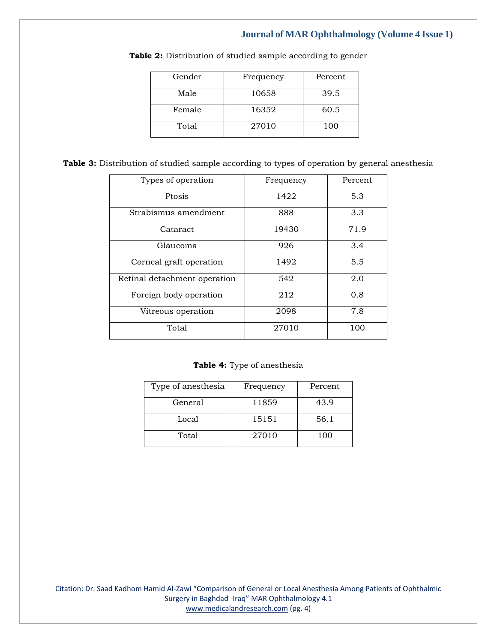| Gender | Frequency | Percent |  |
|--------|-----------|---------|--|
| Male   | 10658     | 39.5    |  |
| Female | 16352     | 60.5    |  |
| Total  | 27010     | 100     |  |

Table 2: Distribution of studied sample according to gender

| Table 3: Distribution of studied sample according to types of operation by general anesthesia |  |  |  |  |  |  |  |  |  |  |
|-----------------------------------------------------------------------------------------------|--|--|--|--|--|--|--|--|--|--|
|-----------------------------------------------------------------------------------------------|--|--|--|--|--|--|--|--|--|--|

| Types of operation           | Frequency | Percent |  |
|------------------------------|-----------|---------|--|
| Ptosis                       | 1422      | 5.3     |  |
| Strabismus amendment         | 888       | 3.3     |  |
| Cataract                     | 19430     | 71.9    |  |
| Glaucoma                     | 926       | 3.4     |  |
| Corneal graft operation      | 1492      | 5.5     |  |
| Retinal detachment operation | 542       | 2.0     |  |
| Foreign body operation       | 212       | 0.8     |  |
| Vitreous operation           | 2098      | 7.8     |  |
| Total                        | 27010     | 100     |  |

**Table 4:** Type of anesthesia

| Type of anesthesia | Frequency | Percent |
|--------------------|-----------|---------|
| General            | 11859     | 43.9    |
| Local              | 15151     | 56.1    |
| Total              | 27010     | 100     |

Citation: Dr. Saad Kadhom Hamid Al-Zawi "Comparison of General or Local Anesthesia Among Patients of Ophthalmic Surgery in Baghdad -Iraq" MAR Ophthalmology 4.1 [www.medicalandresearch.com](http://www.medicalandresearch.com/) (pg. 4)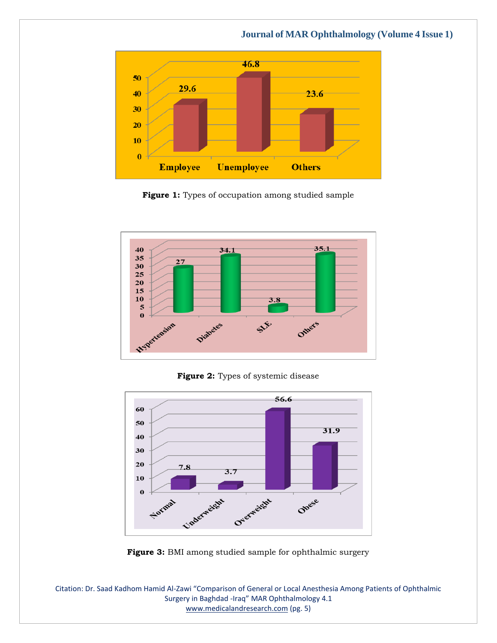### 46.8 50 29.6 40  $23.6$ 30 20 10  $\bf{0}$ **Unemployee Employee Others**

 **Journal of MAR Ophthalmology (Volume 4 Issue 1)**

Figure 1: Types of occupation among studied sample



Figure 2: Types of systemic disease



**Figure 3:** BMI among studied sample for ophthalmic surgery

Citation: Dr. Saad Kadhom Hamid Al-Zawi "Comparison of General or Local Anesthesia Among Patients of Ophthalmic Surgery in Baghdad -Iraq" MAR Ophthalmology 4.1 [www.medicalandresearch.com](http://www.medicalandresearch.com/) (pg. 5)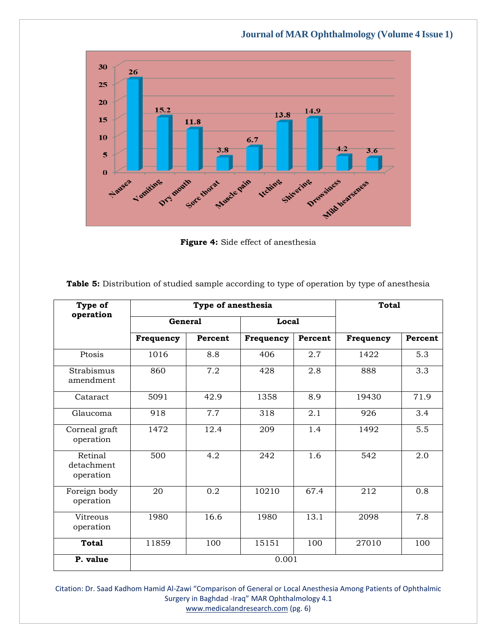30  $26$ 25 20 15.2 14.9  $13.8$ 15 11.8 10  $6.7$  $4.2$  $3.6$  $3.8$ 5  $\bf{0}$ Vaniting Wedning Namea Shirectings Drawsiness energy Dry mouth Sore thorat Muscle pain

 **Journal of MAR Ophthalmology (Volume 4 Issue 1)**

**Figure 4:** Side effect of anesthesia

| Type of                            |                | Type of anesthesia | <b>Total</b> |         |           |         |  |
|------------------------------------|----------------|--------------------|--------------|---------|-----------|---------|--|
| operation                          | <b>General</b> |                    | Local        |         |           |         |  |
|                                    | Frequency      | Percent            | Frequency    | Percent | Frequency | Percent |  |
| Ptosis                             | 1016           | 8.8                | 406          | 2.7     | 1422      | 5.3     |  |
| Strabismus<br>amendment            | 860            | 7.2                | 428          | 2.8     | 888       | 3.3     |  |
| Cataract                           | 5091           | 42.9               | 1358         | 8.9     | 19430     | 71.9    |  |
| Glaucoma                           | 918            | 7.7                | 318          | 2.1     | 926       | 3.4     |  |
| Corneal graft<br>operation         | 1472           | 12.4               | 209          | 1.4     | 1492      | 5.5     |  |
| Retinal<br>detachment<br>operation | 500            | 4.2                | 242          | 1.6     | 542       | 2.0     |  |
| Foreign body<br>operation          | 20             | 0.2                | 10210        | 67.4    | 212       | 0.8     |  |
| Vitreous<br>operation              | 1980           | 16.6               | 1980         | 13.1    | 2098      | 7.8     |  |
| <b>Total</b>                       | 11859          | 100                | 15151        | 100     | 27010     | 100     |  |
| P. value                           | 0.001          |                    |              |         |           |         |  |

**Table 5:** Distribution of studied sample according to type of operation by type of anesthesia

Citation: Dr. Saad Kadhom Hamid Al-Zawi "Comparison of General or Local Anesthesia Among Patients of Ophthalmic Surgery in Baghdad -Iraq" MAR Ophthalmology 4.1 [www.medicalandresearch.com](http://www.medicalandresearch.com/) (pg. 6)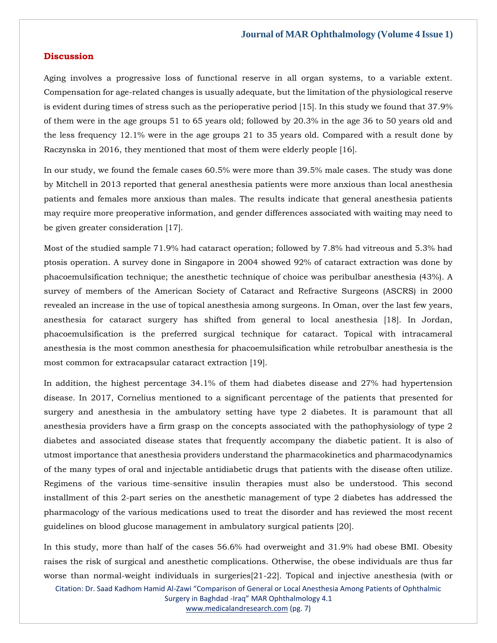#### **Discussion**

Aging involves a progressive loss of functional reserve in all organ systems, to a variable extent. Compensation for age-related changes is usually adequate, but the limitation of the physiological reserve is evident during times of stress such as the perioperative period [15]. In this study we found that 37.9% of them were in the age groups 51 to 65 years old; followed by 20.3% in the age 36 to 50 years old and the less frequency 12.1% were in the age groups 21 to 35 years old. Compared with a result done by Raczynska in 2016, they mentioned that most of them were elderly people [16].

In our study, we found the female cases 60.5% were more than 39.5% male cases. The study was done by Mitchell in 2013 reported that general anesthesia patients were more anxious than local anesthesia patients and females more anxious than males. The results indicate that general anesthesia patients may require more preoperative information, and gender differences associated with waiting may need to be given greater consideration [17].

Most of the studied sample 71.9% had cataract operation; followed by 7.8% had vitreous and 5.3% had ptosis operation. A survey done in Singapore in 2004 showed 92% of cataract extraction was done by phacoemulsification technique; the anesthetic technique of choice was peribulbar anesthesia (43%). A survey of members of the American Society of Cataract and Refractive Surgeons (ASCRS) in 2000 revealed an increase in the use of topical anesthesia among surgeons. In Oman, over the last few years, anesthesia for cataract surgery has shifted from general to local anesthesia [18]. In Jordan, phacoemulsification is the preferred surgical technique for cataract. Topical with intracameral anesthesia is the most common anesthesia for phacoemulsification while retrobulbar anesthesia is the most common for extracapsular cataract extraction [19].

In addition, the highest percentage 34.1% of them had diabetes disease and 27% had hypertension disease. In 2017, Cornelius mentioned to a significant percentage of the patients that presented for surgery and anesthesia in the ambulatory setting have type 2 diabetes. It is paramount that all anesthesia providers have a firm grasp on the concepts associated with the pathophysiology of type 2 diabetes and associated disease states that frequently accompany the diabetic patient. It is also of utmost importance that anesthesia providers understand the pharmacokinetics and pharmacodynamics of the many types of oral and injectable antidiabetic drugs that patients with the disease often utilize. Regimens of the various time-sensitive insulin therapies must also be understood. This second installment of this 2-part series on the anesthetic management of type 2 diabetes has addressed the pharmacology of the various medications used to treat the disorder and has reviewed the most recent guidelines on blood glucose management in ambulatory surgical patients [20].

In this study, more than half of the cases 56.6% had overweight and 31.9% had obese BMI. Obesity raises the risk of surgical and anesthetic complications. Otherwise, the obese individuals are thus far worse than normal-weight individuals in surgeries[21-22]. Topical and injective anesthesia (with or

Citation: Dr. Saad Kadhom Hamid Al-Zawi "Comparison of General or Local Anesthesia Among Patients of Ophthalmic Surgery in Baghdad -Iraq" MAR Ophthalmology 4.1 [www.medicalandresearch.com](http://www.medicalandresearch.com/) (pg. 7)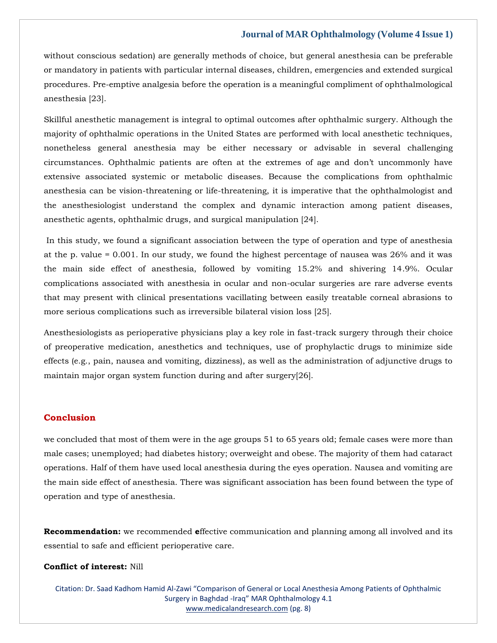without conscious sedation) are generally methods of choice, but general anesthesia can be preferable or mandatory in patients with particular internal diseases, children, emergencies and extended surgical procedures. Pre-emptive analgesia before the operation is a meaningful compliment of ophthalmological anesthesia [23].

Skillful anesthetic management is integral to optimal outcomes after ophthalmic surgery. Although the majority of ophthalmic operations in the United States are performed with local anesthetic techniques, nonetheless general anesthesia may be either necessary or advisable in several challenging circumstances. Ophthalmic patients are often at the extremes of age and don't uncommonly have extensive associated systemic or metabolic diseases. Because the complications from ophthalmic anesthesia can be vision-threatening or life-threatening, it is imperative that the ophthalmologist and the anesthesiologist understand the complex and dynamic interaction among patient diseases, anesthetic agents, ophthalmic drugs, and surgical manipulation [24].

In this study, we found a significant association between the type of operation and type of anesthesia at the p. value = 0.001. In our study, we found the highest percentage of nausea was 26% and it was the main side effect of anesthesia, followed by vomiting 15.2% and shivering 14.9%. Ocular complications associated with anesthesia in ocular and non-ocular surgeries are rare adverse events that may present with clinical presentations vacillating between easily treatable corneal abrasions to more serious complications such as irreversible bilateral vision loss [25].

Anesthesiologists as perioperative physicians play a key role in fast-track surgery through their choice of preoperative medication, anesthetics and techniques, use of prophylactic drugs to minimize side effects (e.g., pain, nausea and vomiting, dizziness), as well as the administration of adjunctive drugs to maintain major organ system function during and after surgery[26].

#### **Conclusion**

we concluded that most of them were in the age groups 51 to 65 years old; female cases were more than male cases; unemployed; had diabetes history; overweight and obese. The majority of them had cataract operations. Half of them have used local anesthesia during the eyes operation. Nausea and vomiting are the main side effect of anesthesia. There was significant association has been found between the type of operation and type of anesthesia.

**Recommendation:** we recommended **e**ffective communication and planning among all involved and its essential to safe and efficient perioperative care.

#### **Conflict of interest:** Nill

Citation: Dr. Saad Kadhom Hamid Al-Zawi "Comparison of General or Local Anesthesia Among Patients of Ophthalmic Surgery in Baghdad -Iraq" MAR Ophthalmology 4.1 [www.medicalandresearch.com](http://www.medicalandresearch.com/) (pg. 8)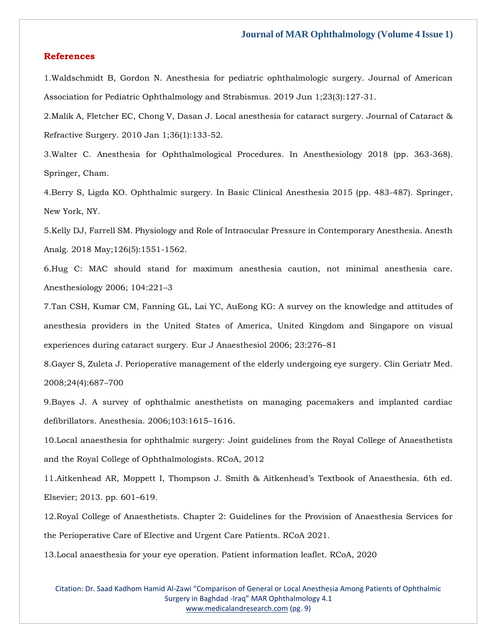#### **References**

1[.Waldschmidt B, Gordon N. Anesthesia for pediatric ophthalmologic surgery. Journal of American](https://www.google.com/search?q=Anesthesia+for+pediatric+ophthalmologic+surgery.+Journal+of+American+Association+for+Pediatric+Ophthalmology+and+Strabismus&oq=Anesthesia+for+pediatric+ophthalmologic+surgery.+Journal+of+American+Association+for+Pediatric+Ophthalmology+and+Strabismus&aqs=chrome..69i57.431j0j7&sourceid=chrome&ie=UTF-8)  [Association for Pediatric Ophthalmology and Strabismus. 2019 Jun 1;23\(3\):127-31.](https://www.google.com/search?q=Anesthesia+for+pediatric+ophthalmologic+surgery.+Journal+of+American+Association+for+Pediatric+Ophthalmology+and+Strabismus&oq=Anesthesia+for+pediatric+ophthalmologic+surgery.+Journal+of+American+Association+for+Pediatric+Ophthalmology+and+Strabismus&aqs=chrome..69i57.431j0j7&sourceid=chrome&ie=UTF-8)

2[.Malik A, Fletcher EC, Chong V, Dasan J. Local anesthesia for cataract surgery. Journal of Cataract &](https://www.google.com/search?q=Local+anesthesia+for+cataract+surgery.+Journal+of+Cataract+%26+Refractive+Surgery&sxsrf=AOaemvIsn_Zl3jqiyfPMWzbRkP9lfXpBfQ%3A1641893749276&ei=dU_dYZ2sEKaL4-EPzK-2sAc&ved=0ahUKEwjdurztsqn1AhWmxTgGHcyXDXYQ4dUDCA4&uact=5&oq=Local+anesthesia+for+cataract+surgery.+Journal+of+Cataract+%26+Refractive+Surgery&gs_lcp=Cgdnd3Mtd2l6EAM6BwgjEOoCECdKBAhBGABKBAhGGABQpAZYpAZguwloAXACeACAAeIBiAHiAZIBAzItMZgBAKABAaABArABCsABAQ&sclient=gws-wiz)  [Refractive Surgery. 2010 Jan 1;36\(1\):133-52.](https://www.google.com/search?q=Local+anesthesia+for+cataract+surgery.+Journal+of+Cataract+%26+Refractive+Surgery&sxsrf=AOaemvIsn_Zl3jqiyfPMWzbRkP9lfXpBfQ%3A1641893749276&ei=dU_dYZ2sEKaL4-EPzK-2sAc&ved=0ahUKEwjdurztsqn1AhWmxTgGHcyXDXYQ4dUDCA4&uact=5&oq=Local+anesthesia+for+cataract+surgery.+Journal+of+Cataract+%26+Refractive+Surgery&gs_lcp=Cgdnd3Mtd2l6EAM6BwgjEOoCECdKBAhBGABKBAhGGABQpAZYpAZguwloAXACeACAAeIBiAHiAZIBAzItMZgBAKABAaABArABCsABAQ&sclient=gws-wiz)

3[.Walter C. Anesthesia for Ophthalmological Procedures. In Anesthesiology 2018 \(pp. 363-368\).](https://www.google.com/search?q=Anesthesia+for+Ophthalmological+Procedures&sxsrf=AOaemvKTO8VDBM9dyVAmw2yQCRYDuPDN9Q%3A1641893810281&ei=sk_dYaXFELqR4-EPy9ykiA8&ved=0ahUKEwil5seKs6n1AhW6yDgGHUsuCfEQ4dUDCA4&uact=5&oq=Anesthesia+for+Ophthalmological+Procedures&gs_lcp=Cgdnd3Mtd2l6EAMyBggAEBYQHjoHCCMQ6gIQJ0oECEEYAEoECEYYAFDQBVjQBWCMCGgBcAJ4AIABuQGIAbkBkgEDMC4xmAEAoAEBoAECsAEKwAEB&sclient=gws-wiz)  [Springer, Cham.](https://www.google.com/search?q=Anesthesia+for+Ophthalmological+Procedures&sxsrf=AOaemvKTO8VDBM9dyVAmw2yQCRYDuPDN9Q%3A1641893810281&ei=sk_dYaXFELqR4-EPy9ykiA8&ved=0ahUKEwil5seKs6n1AhW6yDgGHUsuCfEQ4dUDCA4&uact=5&oq=Anesthesia+for+Ophthalmological+Procedures&gs_lcp=Cgdnd3Mtd2l6EAMyBggAEBYQHjoHCCMQ6gIQJ0oECEEYAEoECEYYAFDQBVjQBWCMCGgBcAJ4AIABuQGIAbkBkgEDMC4xmAEAoAEBoAECsAEKwAEB&sclient=gws-wiz)

4[.Berry S, Ligda KO. Ophthalmic surgery. In Basic Clinical Anesthesia 2015 \(pp. 483-487\). Springer,](https://www.google.com/search?q=Ophthalmic+surgery&sxsrf=AOaemvL1FV8hfHaDnPc-Ea2E_XqIil8ybQ%3A1641893836491&ei=zE_dYauuHZvH4-EP1IiJoAc&ved=0ahUKEwirxIeXs6n1AhWb4zgGHVREAnQQ4dUDCA4&uact=5&oq=Ophthalmic+surgery&gs_lcp=Cgdnd3Mtd2l6EAMyBQgAEIAEMgUIABCABDIFCAAQgAQyBQgAEIAEMgUIABCABDIFCAAQgAQyBQgAEIAEMgUIABCABDIFCAAQgAQyCggAEIAEEIcCEBQ6BwgjEOoCECdKBAhBGABKBAhGGABQ9gVY9gVg-wdoAXACeACAAcUBiAHFAZIBAzAuMZgBAKABAaABArABCsABAQ&sclient=gws-wiz)  [New York, NY.](https://www.google.com/search?q=Ophthalmic+surgery&sxsrf=AOaemvL1FV8hfHaDnPc-Ea2E_XqIil8ybQ%3A1641893836491&ei=zE_dYauuHZvH4-EP1IiJoAc&ved=0ahUKEwirxIeXs6n1AhWb4zgGHVREAnQQ4dUDCA4&uact=5&oq=Ophthalmic+surgery&gs_lcp=Cgdnd3Mtd2l6EAMyBQgAEIAEMgUIABCABDIFCAAQgAQyBQgAEIAEMgUIABCABDIFCAAQgAQyBQgAEIAEMgUIABCABDIFCAAQgAQyCggAEIAEEIcCEBQ6BwgjEOoCECdKBAhBGABKBAhGGABQ9gVY9gVg-wdoAXACeACAAcUBiAHFAZIBAzAuMZgBAKABAaABArABCsABAQ&sclient=gws-wiz)

5[.Kelly DJ, Farrell SM. Physiology and Role of Intraocular Pressure in Contemporary Anesthesia. Anesth](https://www.google.com/search?q=Physiology+and+Role+of+Intraocular+Pressure+in+Contemporary+Anesthesia&sxsrf=AOaemvJalsXcw-PppzL5b_RSaYRzvjBAPA%3A1641893858457&ei=4k_dYeG-E4SR4-EPp5ue0AQ&ved=0ahUKEwjht7yhs6n1AhWEyDgGHaeNB0oQ4dUDCA4&uact=5&oq=Physiology+and+Role+of+Intraocular+Pressure+in+Contemporary+Anesthesia&gs_lcp=Cgdnd3Mtd2l6EAMyBggAEBYQHjoHCCMQ6gIQJ0oECEEYAEoECEYYAFDyBVjyBWDgCGgBcAJ4AIAB-gGIAfoBkgEDMi0xmAEAoAEBoAECsAEKwAEB&sclient=gws-wiz)  [Analg. 2018 May;126\(5\):1551-1562.](https://www.google.com/search?q=Physiology+and+Role+of+Intraocular+Pressure+in+Contemporary+Anesthesia&sxsrf=AOaemvJalsXcw-PppzL5b_RSaYRzvjBAPA%3A1641893858457&ei=4k_dYeG-E4SR4-EPp5ue0AQ&ved=0ahUKEwjht7yhs6n1AhWEyDgGHaeNB0oQ4dUDCA4&uact=5&oq=Physiology+and+Role+of+Intraocular+Pressure+in+Contemporary+Anesthesia&gs_lcp=Cgdnd3Mtd2l6EAMyBggAEBYQHjoHCCMQ6gIQJ0oECEEYAEoECEYYAFDyBVjyBWDgCGgBcAJ4AIAB-gGIAfoBkgEDMi0xmAEAoAEBoAECsAEKwAEB&sclient=gws-wiz)

6[.Hug C: MAC should stand for maximum anesthesia caution, not minimal anesthesia care.](https://www.google.com/search?q=MAC+should+stand+for+maximum+anesthesia+caution%2C+not+minimal+anesthesia+care&sxsrf=AOaemvIL_nTbUoPqj3-SDmEMi3Z9Q5Yx5A%3A1641893928450&ei=KFDdYZTwGtiE4-EP2Iim0A0&ved=0ahUKEwiUpPTCs6n1AhVYwjgGHViECdoQ4dUDCA4&uact=5&oq=MAC+should+stand+for+maximum+anesthesia+caution%2C+not+minimal+anesthesia+care&gs_lcp=Cgdnd3Mtd2l6EAM6BwgjEOoCECdKBAhBGABKBAhGGABQ4QVY4QVg8gdoAXACeACAAecBiAHnAZIBAzItMZgBAKABAaABArABCsABAQ&sclient=gws-wiz)  [Anesthesiology 2006; 104:221](https://www.google.com/search?q=MAC+should+stand+for+maximum+anesthesia+caution%2C+not+minimal+anesthesia+care&sxsrf=AOaemvIL_nTbUoPqj3-SDmEMi3Z9Q5Yx5A%3A1641893928450&ei=KFDdYZTwGtiE4-EP2Iim0A0&ved=0ahUKEwiUpPTCs6n1AhVYwjgGHViECdoQ4dUDCA4&uact=5&oq=MAC+should+stand+for+maximum+anesthesia+caution%2C+not+minimal+anesthesia+care&gs_lcp=Cgdnd3Mtd2l6EAM6BwgjEOoCECdKBAhBGABKBAhGGABQ4QVY4QVg8gdoAXACeACAAecBiAHnAZIBAzItMZgBAKABAaABArABCsABAQ&sclient=gws-wiz)–3

7[.Tan CSH, Kumar CM, Fanning GL, Lai YC, AuEong KG: A survey on the knowledge and attitudes of](https://www.google.com/search?q=A+survey+on+the+knowledge+and+attitudes+of+anesthesia+providers+in+the+United+States+of+America%2C+United+Kingdom+and+Singapore+on+visual+experiences+during+cataract+surgery&sxsrf=AOaemvIIbuheo_zXjAQvscAQAgED__p33w%3A1641893952645&ei=QFDdYaDfJq6V4-EP67uV0AY&ved=0ahUKEwig_7jOs6n1AhWuyjgGHetdBWoQ4dUDCA4&uact=5&oq=A+survey+on+the+knowledge+and+attitudes+of+anesthesia+providers+in+the+United+States+of+America%2C+United+Kingdom+and+Singapore+on+visual+experiences+during+cataract+surgery&gs_lcp=Cgdnd3Mtd2l6EAMyBwgjEOoCECcyBwgjEOoCECcyBwgjEOoCECcyBwgjEOoCECcyBwgjEOoCECcyBwgjEOoCECcyBwgjEOoCECcyBwgjEOoCECcyBwgjEOoCECcyBwgjEOoCECdKBAhBGABKBAhGGABQtApYtApghg1oAXACeACAAQCIAQCSAQCYAQCgAQGgAQKwAQrAAQE&sclient=gws-wiz)  [anesthesia providers in the United States of America, United Kingdom and Singapore on visual](https://www.google.com/search?q=A+survey+on+the+knowledge+and+attitudes+of+anesthesia+providers+in+the+United+States+of+America%2C+United+Kingdom+and+Singapore+on+visual+experiences+during+cataract+surgery&sxsrf=AOaemvIIbuheo_zXjAQvscAQAgED__p33w%3A1641893952645&ei=QFDdYaDfJq6V4-EP67uV0AY&ved=0ahUKEwig_7jOs6n1AhWuyjgGHetdBWoQ4dUDCA4&uact=5&oq=A+survey+on+the+knowledge+and+attitudes+of+anesthesia+providers+in+the+United+States+of+America%2C+United+Kingdom+and+Singapore+on+visual+experiences+during+cataract+surgery&gs_lcp=Cgdnd3Mtd2l6EAMyBwgjEOoCECcyBwgjEOoCECcyBwgjEOoCECcyBwgjEOoCECcyBwgjEOoCECcyBwgjEOoCECcyBwgjEOoCECcyBwgjEOoCECcyBwgjEOoCECcyBwgjEOoCECdKBAhBGABKBAhGGABQtApYtApghg1oAXACeACAAQCIAQCSAQCYAQCgAQGgAQKwAQrAAQE&sclient=gws-wiz)  [experiences during cataract surgery. Eur J Anaesthesiol 2006; 23:276](https://www.google.com/search?q=A+survey+on+the+knowledge+and+attitudes+of+anesthesia+providers+in+the+United+States+of+America%2C+United+Kingdom+and+Singapore+on+visual+experiences+during+cataract+surgery&sxsrf=AOaemvIIbuheo_zXjAQvscAQAgED__p33w%3A1641893952645&ei=QFDdYaDfJq6V4-EP67uV0AY&ved=0ahUKEwig_7jOs6n1AhWuyjgGHetdBWoQ4dUDCA4&uact=5&oq=A+survey+on+the+knowledge+and+attitudes+of+anesthesia+providers+in+the+United+States+of+America%2C+United+Kingdom+and+Singapore+on+visual+experiences+during+cataract+surgery&gs_lcp=Cgdnd3Mtd2l6EAMyBwgjEOoCECcyBwgjEOoCECcyBwgjEOoCECcyBwgjEOoCECcyBwgjEOoCECcyBwgjEOoCECcyBwgjEOoCECcyBwgjEOoCECcyBwgjEOoCECcyBwgjEOoCECdKBAhBGABKBAhGGABQtApYtApghg1oAXACeACAAQCIAQCSAQCYAQCgAQGgAQKwAQrAAQE&sclient=gws-wiz)–81

8[.Gayer S, Zuleta J. Perioperative management of the elderly undergoing eye surgery. Clin Geriatr Med.](https://www.google.com/search?q=Perioperative+management+of+the+elderly+undergoing+eye+surgery&sxsrf=AOaemvLRwSAQhTUvhRD23KOgnLgLZjo5AA%3A1641893972424&ei=VFDdYY6rGbSM4-EP3PyI8Aw&ved=0ahUKEwiOpfDXs6n1AhU0xjgGHVw-As4Q4dUDCA4&uact=5&oq=Perioperative+management+of+the+elderly+undergoing+eye+surgery&gs_lcp=Cgdnd3Mtd2l6EAM6BwgjEOoCECdKBAhBGABKBAhGGABQuAVYuAVgmAdoAXAAeACAAcUBiAHFAZIBAzAuMZgBAKABAaABArABCsABAQ&sclient=gws-wiz)  [2008;24\(4\):687](https://www.google.com/search?q=Perioperative+management+of+the+elderly+undergoing+eye+surgery&sxsrf=AOaemvLRwSAQhTUvhRD23KOgnLgLZjo5AA%3A1641893972424&ei=VFDdYY6rGbSM4-EP3PyI8Aw&ved=0ahUKEwiOpfDXs6n1AhU0xjgGHVw-As4Q4dUDCA4&uact=5&oq=Perioperative+management+of+the+elderly+undergoing+eye+surgery&gs_lcp=Cgdnd3Mtd2l6EAM6BwgjEOoCECdKBAhBGABKBAhGGABQuAVYuAVgmAdoAXAAeACAAcUBiAHFAZIBAzAuMZgBAKABAaABArABCsABAQ&sclient=gws-wiz)–700

9[.Bayes J. A survey of ophthalmic anesthetists on managing pacemakers and implanted cardiac](https://www.google.com/search?q=A+survey+of+ophthalmic+anesthetists+on+managing+pacemakers+and+implanted+cardiac+defibrillators&sxsrf=AOaemvJ1PLIn3L4PsnWxLCHhH0aSHVX99w%3A1641893990893&ei=ZlDdYd75NamU4-EP4fq54AM&ved=0ahUKEwjexNfgs6n1AhUpyjgGHWF9DjwQ4dUDCA4&uact=5&oq=A+survey+of+ophthalmic+anesthetists+on+managing+pacemakers+and+implanted+cardiac+defibrillators&gs_lcp=Cgdnd3Mtd2l6EAM6BwgjEOoCECdKBAhBGABKBAhGGABQ0gVY0gVgkwhoAXAAeACAAdoBiAHaAZIBAzItMZgBAKABAaABArABCsABAQ&sclient=gws-wiz)  [defibrillators. Anesthesia. 2006;103:1615](https://www.google.com/search?q=A+survey+of+ophthalmic+anesthetists+on+managing+pacemakers+and+implanted+cardiac+defibrillators&sxsrf=AOaemvJ1PLIn3L4PsnWxLCHhH0aSHVX99w%3A1641893990893&ei=ZlDdYd75NamU4-EP4fq54AM&ved=0ahUKEwjexNfgs6n1AhUpyjgGHWF9DjwQ4dUDCA4&uact=5&oq=A+survey+of+ophthalmic+anesthetists+on+managing+pacemakers+and+implanted+cardiac+defibrillators&gs_lcp=Cgdnd3Mtd2l6EAM6BwgjEOoCECdKBAhBGABKBAhGGABQ0gVY0gVgkwhoAXAAeACAAdoBiAHaAZIBAzItMZgBAKABAaABArABCsABAQ&sclient=gws-wiz)–1616.

10[.Local anaesthesia for ophthalmic surgery: Joint guidelines from the Royal College of Anaesthetists](https://www.google.com/search?q=Local+anaesthesia+for+ophthalmic+surgery%3A+Joint+guidelines+from+the+Royal+College+of+Anaesthetists+and+the+Royal+College+of+Ophthalmologists&sxsrf=AOaemvKkp40WUGbwYovOXBFwSfrxe_3DxQ%3A1641894011402&ei=e1DdYbXvF_SZ4-EP67mP2Ak&ved=0ahUKEwj1mLvqs6n1AhX0zDgGHevcA5sQ4dUDCA4&uact=5&oq=Local+anaesthesia+for+ophthalmic+surgery%3A+Joint+guidelines+from+the+Royal+College+of+Anaesthetists+and+the+Royal+College+of+Ophthalmologists&gs_lcp=Cgdnd3Mtd2l6EAMyBwgjEOoCECcyBwgjEOoCECcyBwgjEOoCECcyBwgjEOoCECcyBwgjEOoCECcyBwgjEOoCECcyBwgjEOoCECcyBwgjEOoCECcyBwgjEOoCECcyBwgjEOoCECdKBAhBGABKBAhGGABQ8QhY8Qhg_QpoAXAAeACAAQCIAQCSAQCYAQCgAQGgAQKwAQrAAQE&sclient=gws-wiz)  [and the Royal College of Ophthalmologists. RCoA, 2012](https://www.google.com/search?q=Local+anaesthesia+for+ophthalmic+surgery%3A+Joint+guidelines+from+the+Royal+College+of+Anaesthetists+and+the+Royal+College+of+Ophthalmologists&sxsrf=AOaemvKkp40WUGbwYovOXBFwSfrxe_3DxQ%3A1641894011402&ei=e1DdYbXvF_SZ4-EP67mP2Ak&ved=0ahUKEwj1mLvqs6n1AhX0zDgGHevcA5sQ4dUDCA4&uact=5&oq=Local+anaesthesia+for+ophthalmic+surgery%3A+Joint+guidelines+from+the+Royal+College+of+Anaesthetists+and+the+Royal+College+of+Ophthalmologists&gs_lcp=Cgdnd3Mtd2l6EAMyBwgjEOoCECcyBwgjEOoCECcyBwgjEOoCECcyBwgjEOoCECcyBwgjEOoCECcyBwgjEOoCECcyBwgjEOoCECcyBwgjEOoCECcyBwgjEOoCECcyBwgjEOoCECdKBAhBGABKBAhGGABQ8QhY8Qhg_QpoAXAAeACAAQCIAQCSAQCYAQCgAQGgAQKwAQrAAQE&sclient=gws-wiz)

11.[Aitkenhead AR, Moppett I, Thompson J. Smith & Aitkenhead's Textbook of Anaesthesia. 6th ed.](https://www.google.com/search?q=Smith+%26+Aitkenhead%E2%80%99s+Textbook+of+Anaesthesia&sxsrf=AOaemvJNEoJrSiPe485u3fxE-Y7Et8e7dw%3A1641894031421&ei=j1DdYcKPGdGI4-EPycSZ8A8&ved=0ahUKEwiCk4H0s6n1AhVRxDgGHUliBv4Q4dUDCA4&uact=5&oq=Smith+%26+Aitkenhead%E2%80%99s+Textbook+of+Anaesthesia&gs_lcp=Cgdnd3Mtd2l6EAMyBggAEBYQHjIGCAAQFhAeMgYIABAWEB4yBggAEBYQHjIGCAAQFhAeMgYIABAWEB46BwgjEOoCECdKBAhBGABKBAhGGABQtgVYtgVgwAdoAXACeACAAdgBiAHYAZIBAzItMZgBAKABAaABArABCsABAQ&sclient=gws-wiz)  [Elsevier; 2013. pp. 601](https://www.google.com/search?q=Smith+%26+Aitkenhead%E2%80%99s+Textbook+of+Anaesthesia&sxsrf=AOaemvJNEoJrSiPe485u3fxE-Y7Et8e7dw%3A1641894031421&ei=j1DdYcKPGdGI4-EPycSZ8A8&ved=0ahUKEwiCk4H0s6n1AhVRxDgGHUliBv4Q4dUDCA4&uact=5&oq=Smith+%26+Aitkenhead%E2%80%99s+Textbook+of+Anaesthesia&gs_lcp=Cgdnd3Mtd2l6EAMyBggAEBYQHjIGCAAQFhAeMgYIABAWEB4yBggAEBYQHjIGCAAQFhAeMgYIABAWEB46BwgjEOoCECdKBAhBGABKBAhGGABQtgVYtgVgwAdoAXACeACAAdgBiAHYAZIBAzItMZgBAKABAaABArABCsABAQ&sclient=gws-wiz)–619.

12[.Royal College of Anaesthetists. Chapter 2: Guidelines for the Provision of Anaesthesia Services for](https://www.google.com/search?q=Chapter+2%3A+Guidelines+for+the+Provision+of+Anaesthesia+Services+for+the+Perioperative+Care+of+Elective+and+Urgent+Care+Patients&sxsrf=AOaemvKfm_SgIxmhTr5K1pH6cs0yOOIxAA%3A1641894050711&ei=olDdYYTwKsuQ4-EP4vuMsAE&ved=0ahUKEwiEyZr9s6n1AhVLyDgGHeI9AxYQ4dUDCA4&uact=5&oq=Chapter+2%3A+Guidelines+for+the+Provision+of+Anaesthesia+Services+for+the+Perioperative+Care+of+Elective+and+Urgent+Care+Patients&gs_lcp=Cgdnd3Mtd2l6EAMyBwgjEOoCECcyBwgjEOoCECcyBwgjEOoCECcyBwgjEOoCECcyBwgjEOoCECcyBwgjEOoCECcyBwgjEOoCECcyBwgjEOoCECcyBwgjEOoCECcyBwgjEOoCECdKBAhBGABKBAhGGABQrgVYrgVg1gdoAXACeACAAQCIAQCSAQCYAQCgAQGgAQKwAQrAAQE&sclient=gws-wiz)  [the Perioperative Care of Elective and Urgent Care Patients. RCoA 2021.](https://www.google.com/search?q=Chapter+2%3A+Guidelines+for+the+Provision+of+Anaesthesia+Services+for+the+Perioperative+Care+of+Elective+and+Urgent+Care+Patients&sxsrf=AOaemvKfm_SgIxmhTr5K1pH6cs0yOOIxAA%3A1641894050711&ei=olDdYYTwKsuQ4-EP4vuMsAE&ved=0ahUKEwiEyZr9s6n1AhVLyDgGHeI9AxYQ4dUDCA4&uact=5&oq=Chapter+2%3A+Guidelines+for+the+Provision+of+Anaesthesia+Services+for+the+Perioperative+Care+of+Elective+and+Urgent+Care+Patients&gs_lcp=Cgdnd3Mtd2l6EAMyBwgjEOoCECcyBwgjEOoCECcyBwgjEOoCECcyBwgjEOoCECcyBwgjEOoCECcyBwgjEOoCECcyBwgjEOoCECcyBwgjEOoCECcyBwgjEOoCECcyBwgjEOoCECdKBAhBGABKBAhGGABQrgVYrgVg1gdoAXACeACAAQCIAQCSAQCYAQCgAQGgAQKwAQrAAQE&sclient=gws-wiz)

13[.Local anaesthesia for your eye operation. Patient information leaflet. RCoA, 2020](https://www.google.com/search?q=Local+anaesthesia+for+your+eye+operation&sxsrf=AOaemvKRQuu9ZRdvTBSc4wFrS-8Q-MbL0w%3A1641894072978&ei=uFDdYfKKO7-M4-EP7d6L2AQ&ved=0ahUKEwjyxumHtKn1AhU_xjgGHW3vAksQ4dUDCA4&uact=5&oq=Local+anaesthesia+for+your+eye+operation&gs_lcp=Cgdnd3Mtd2l6EAMyBwgjEOoCECcyBwgjEOoCECcyBwgjEOoCECcyBwgjEOoCECcyBwgjEOoCECcyBwgjEOoCECcyBwgjEOoCECcyBwgjEOoCECcyBwgjEOoCECcyBwgjEOoCECdKBAhBGABKBAhGGABQ8AZY8AZg_AloAXACeACAAQCIAQCSAQCYAQCgAQGgAQKwAQrAAQE&sclient=gws-wiz)

Citation: Dr. Saad Kadhom Hamid Al-Zawi "Comparison of General or Local Anesthesia Among Patients of Ophthalmic Surgery in Baghdad -Iraq" MAR Ophthalmology 4.1 [www.medicalandresearch.com](http://www.medicalandresearch.com/) (pg. 9)